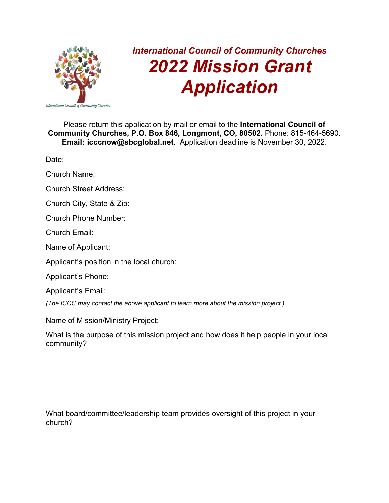

## *International Council of Community Churches 2022 Mission Grant Application*

Please return this application by mail or email to the **International Council of Community Churches, P.O. Box 846, Longmont, CO, 80502.** Phone: 815-464-5690. **Email: [icccnow@sbcglobal.net](mailto:icccnow@sbcglobal.net)**. Application deadline is November 30, 2022.

Date:

Church Name:

Church Street Address:

Church City, State & Zip:

Church Phone Number:

Church Email:

Name of Applicant:

Applicant's position in the local church:

Applicant's Phone:

Applicant's Email:

*(The ICCC may contact the above applicant to learn more about the mission project.)*

Name of Mission/Ministry Project:

What is the purpose of this mission project and how does it help people in your local community?

What board/committee/leadership team provides oversight of this project in your church?